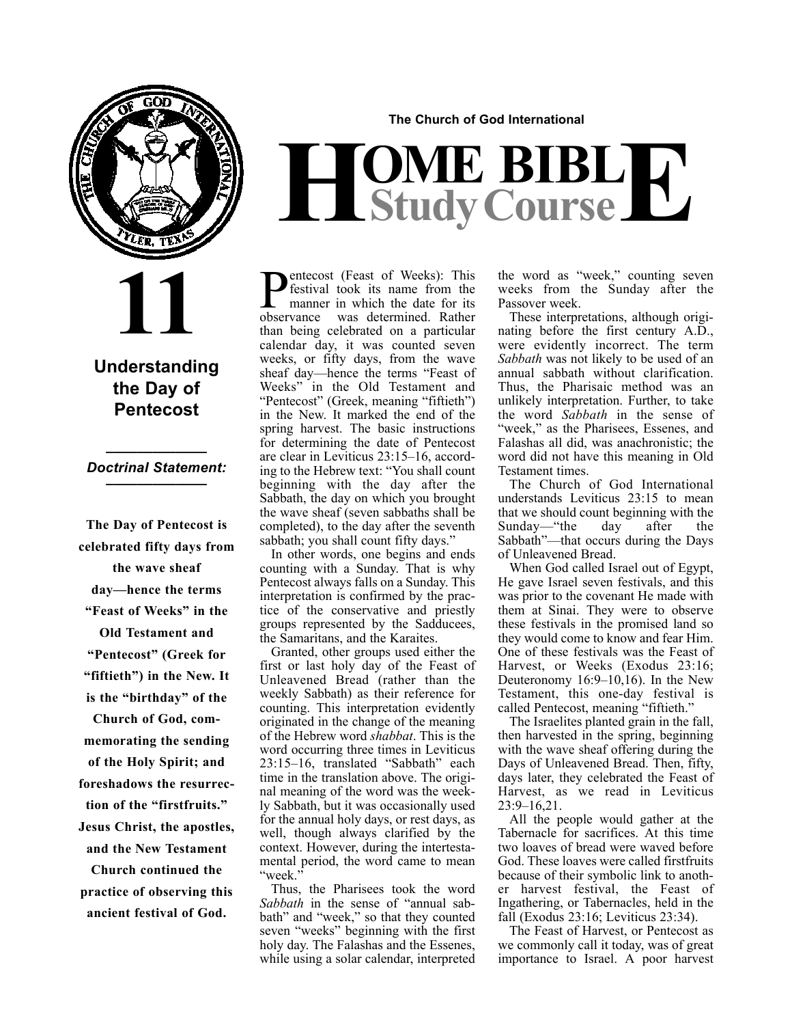

**11**

#### **Understanding the Day of Pentecost**

#### **\_\_\_\_\_\_\_\_\_\_\_\_\_** *Doctrinal Statement:* **\_\_\_\_\_\_\_\_\_\_\_\_\_**

**The Day of Pentecost is celebrated fifty days from the wave sheaf day—hence the terms "Feast of Weeks" in the Old Testament and "Pentecost" (Greek for "fiftieth") in the New. It is the "birthday" of the Church of God, commemorating the sending of the Holy Spirit; and foreshadows the resurrection of the "firstfruits." Jesus Christ, the apostles, and the New Testament Church continued the practice of observing this ancient festival of God.**

**The Church of God International**

# $H$ **Study Course**

**P**entecost (Feast of Weeks): This<br>manner in which the date for its<br>observance was determined. Rather festival took its name from the manner in which the date for its was determined. Rather than being celebrated on a particular calendar day, it was counted seven weeks, or fifty days, from the wave sheaf day—hence the terms "Feast of Weeks" in the Old Testament and "Pentecost" (Greek, meaning "fiftieth") in the New. It marked the end of the spring harvest. The basic instructions for determining the date of Pentecost are clear in Leviticus 23:15–16, according to the Hebrew text: "You shall count beginning with the day after the Sabbath, the day on which you brought the wave sheaf (seven sabbaths shall be completed), to the day after the seventh sabbath; you shall count fifty days."

In other words, one begins and ends counting with a Sunday. That is why Pentecost always falls on a Sunday. This interpretation is confirmed by the practice of the conservative and priestly groups represented by the Sadducees, the Samaritans, and the Karaites.

Granted, other groups used either the first or last holy day of the Feast of Unleavened Bread (rather than the weekly Sabbath) as their reference for counting. This interpretation evidently originated in the change of the meaning of the Hebrew word *shabbat*. This is the word occurring three times in Leviticus 23:15–16, translated "Sabbath" each time in the translation above. The original meaning of the word was the weekly Sabbath, but it was occasionally used for the annual holy days, or rest days, as well, though always clarified by the context. However, during the intertestamental period, the word came to mean "week."

Thus, the Pharisees took the word *Sabbath* in the sense of "annual sabbath" and "week," so that they counted seven "weeks" beginning with the first holy day. The Falashas and the Essenes, while using a solar calendar, interpreted the word as "week," counting seven weeks from the Sunday after the Passover week.

These interpretations, although originating before the first century A.D., were evidently incorrect. The term *Sabbath* was not likely to be used of an annual sabbath without clarification. Thus, the Pharisaic method was an unlikely interpretation. Further, to take the word *Sabbath* in the sense of "week," as the Pharisees, Essenes, and Falashas all did, was anachronistic; the word did not have this meaning in Old Testament times.

The Church of God International understands Leviticus 23:15 to mean that we should count beginning with the Sunday—"the day after the Sabbath"—that occurs during the Days of Unleavened Bread.

When God called Israel out of Egypt, He gave Israel seven festivals, and this was prior to the covenant He made with them at Sinai. They were to observe these festivals in the promised land so they would come to know and fear Him. One of these festivals was the Feast of Harvest, or Weeks (Exodus 23:16; Deuteronomy 16:9–10,16). In the New Testament, this one-day festival is called Pentecost, meaning "fiftieth."

The Israelites planted grain in the fall, then harvested in the spring, beginning with the wave sheaf offering during the Days of Unleavened Bread. Then, fifty, days later, they celebrated the Feast of Harvest, as we read in Leviticus 23:9–16,21.

All the people would gather at the Tabernacle for sacrifices. At this time two loaves of bread were waved before God. These loaves were called firstfruits because of their symbolic link to another harvest festival, the Feast of Ingathering, or Tabernacles, held in the fall (Exodus 23:16; Leviticus 23:34).

The Feast of Harvest, or Pentecost as we commonly call it today, was of great importance to Israel. A poor harvest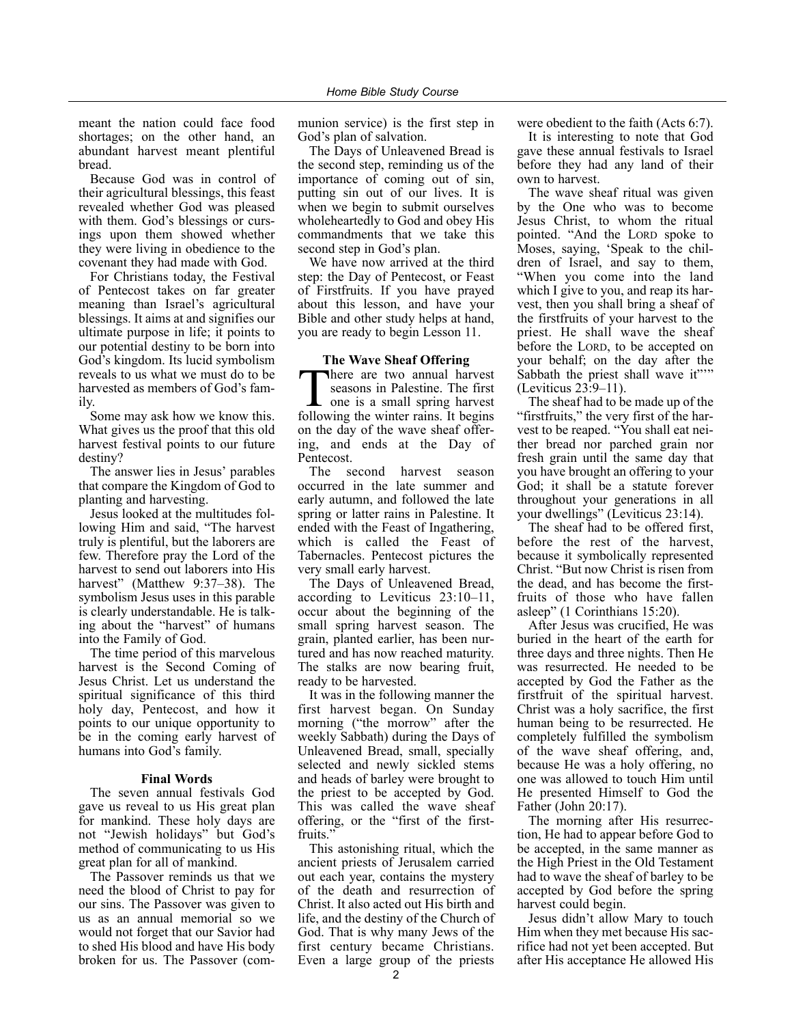meant the nation could face food shortages; on the other hand, an abundant harvest meant plentiful bread.

Because God was in control of their agricultural blessings, this feast revealed whether God was pleased with them. God's blessings or cursings upon them showed whether they were living in obedience to the covenant they had made with God.

For Christians today, the Festival of Pentecost takes on far greater meaning than Israel's agricultural blessings. It aims at and signifies our ultimate purpose in life; it points to our potential destiny to be born into God's kingdom. Its lucid symbolism reveals to us what we must do to be harvested as members of God's family.

Some may ask how we know this. What gives us the proof that this old harvest festival points to our future destiny?

The answer lies in Jesus' parables that compare the Kingdom of God to planting and harvesting.

Jesus looked at the multitudes following Him and said, "The harvest truly is plentiful, but the laborers are few. Therefore pray the Lord of the harvest to send out laborers into His harvest" (Matthew 9:37–38). The symbolism Jesus uses in this parable is clearly understandable. He is talking about the "harvest" of humans into the Family of God.

The time period of this marvelous harvest is the Second Coming of Jesus Christ. Let us understand the spiritual significance of this third holy day, Pentecost, and how it points to our unique opportunity to be in the coming early harvest of humans into God's family.

#### **Final Words**

The seven annual festivals God gave us reveal to us His great plan for mankind. These holy days are not "Jewish holidays" but God's method of communicating to us His great plan for all of mankind.

The Passover reminds us that we need the blood of Christ to pay for our sins. The Passover was given to us as an annual memorial so we would not forget that our Savior had to shed His blood and have His body broken for us. The Passover (communion service) is the first step in God's plan of salvation.

The Days of Unleavened Bread is the second step, reminding us of the importance of coming out of sin, putting sin out of our lives. It is when we begin to submit ourselves wholeheartedly to God and obey His commandments that we take this second step in God's plan.

We have now arrived at the third step: the Day of Pentecost, or Feast of Firstfruits. If you have prayed about this lesson, and have your Bible and other study helps at hand, you are ready to begin Lesson 11.

#### **The Wave Sheaf Offering**

There are two annual harvest<br>seasons in Palestine. The first<br>one is a small spring harvest<br>following the winter rains. It here seasons in Palestine. The first one is a small spring harvest following the winter rains. It begins on the day of the wave sheaf offering, and ends at the Day of Pentecost.

The second harvest season occurred in the late summer and early autumn, and followed the late spring or latter rains in Palestine. It ended with the Feast of Ingathering, which is called the Feast of Tabernacles. Pentecost pictures the very small early harvest.

The Days of Unleavened Bread, according to Leviticus 23:10–11, occur about the beginning of the small spring harvest season. The grain, planted earlier, has been nurtured and has now reached maturity. The stalks are now bearing fruit, ready to be harvested.

It was in the following manner the first harvest began. On Sunday morning ("the morrow" after the weekly Sabbath) during the Days of Unleavened Bread, small, specially selected and newly sickled stems and heads of barley were brought to the priest to be accepted by God. This was called the wave sheaf offering, or the "first of the firstfruits.'

This astonishing ritual, which the ancient priests of Jerusalem carried out each year, contains the mystery of the death and resurrection of Christ. It also acted out His birth and life, and the destiny of the Church of God. That is why many Jews of the first century became Christians. Even a large group of the priests

were obedient to the faith (Acts 6:7).

It is interesting to note that God gave these annual festivals to Israel before they had any land of their own to harvest.

The wave sheaf ritual was given by the One who was to become Jesus Christ, to whom the ritual pointed. "And the LORD spoke to Moses, saying, 'Speak to the children of Israel, and say to them, "When you come into the land which I give to you, and reap its harvest, then you shall bring a sheaf of the firstfruits of your harvest to the priest. He shall wave the sheaf before the LORD, to be accepted on your behalf; on the day after the Sabbath the priest shall wave it"" (Leviticus 23:9–11).

The sheaf had to be made up of the "firstfruits," the very first of the harvest to be reaped. "You shall eat neither bread nor parched grain nor fresh grain until the same day that you have brought an offering to your God; it shall be a statute forever throughout your generations in all your dwellings" (Leviticus 23:14).

The sheaf had to be offered first, before the rest of the harvest, because it symbolically represented Christ. "But now Christ is risen from the dead, and has become the firstfruits of those who have fallen asleep" (1 Corinthians 15:20).

After Jesus was crucified, He was buried in the heart of the earth for three days and three nights. Then He was resurrected. He needed to be accepted by God the Father as the firstfruit of the spiritual harvest. Christ was a holy sacrifice, the first human being to be resurrected. He completely fulfilled the symbolism of the wave sheaf offering, and, because He was a holy offering, no one was allowed to touch Him until He presented Himself to God the Father (John 20:17).

The morning after His resurrection, He had to appear before God to be accepted, in the same manner as the High Priest in the Old Testament had to wave the sheaf of barley to be accepted by God before the spring harvest could begin.

Jesus didn't allow Mary to touch Him when they met because His sacrifice had not yet been accepted. But after His acceptance He allowed His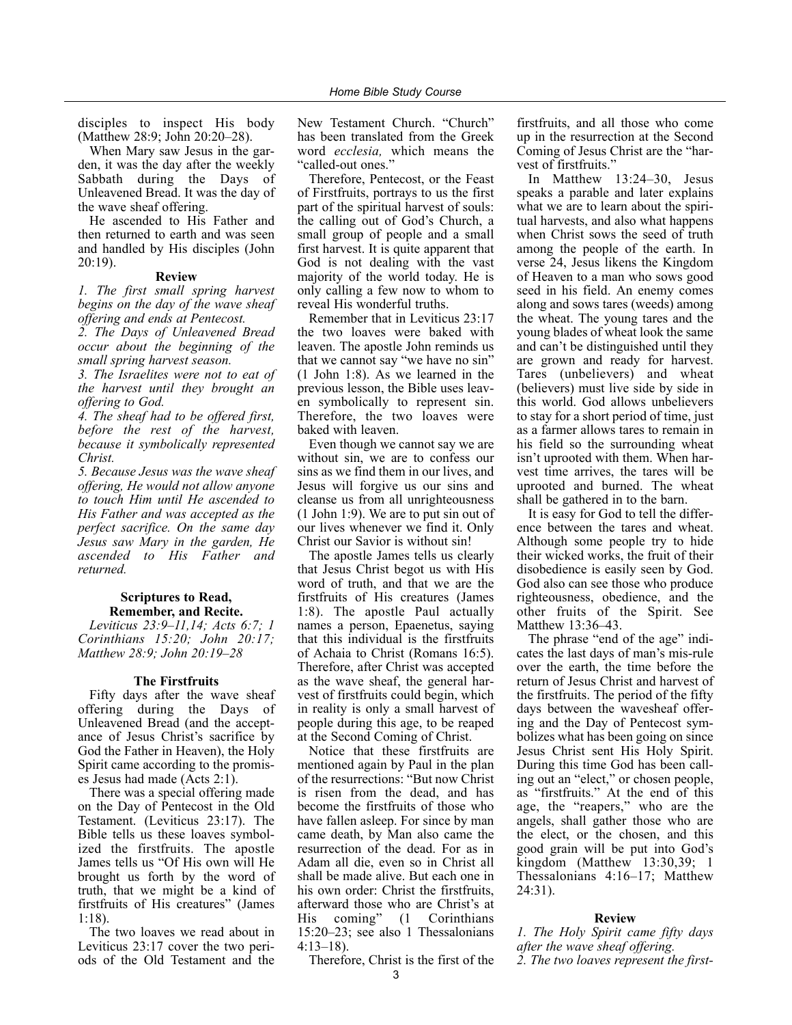disciples to inspect His body (Matthew 28:9; John 20:20–28).

When Mary saw Jesus in the garden, it was the day after the weekly Sabbath during the Days of Unleavened Bread. It was the day of the wave sheaf offering.

He ascended to His Father and then returned to earth and was seen and handled by His disciples (John 20:19).

#### **Review**

*1. The first small spring harvest begins on the day of the wave sheaf offering and ends at Pentecost.*

*2. The Days of Unleavened Bread occur about the beginning of the small spring harvest season.*

*3. The Israelites were not to eat of the harvest until they brought an offering to God.*

*4. The sheaf had to be offered first, before the rest of the harvest, because it symbolically represented Christ.*

*5. Because Jesus was the wave sheaf offering, He would not allow anyone to touch Him until He ascended to His Father and was accepted as the perfect sacrifice. On the same day Jesus saw Mary in the garden, He ascended to His Father and returned.*

#### **Scriptures to Read, Remember, and Recite.**

*Leviticus 23:9–11,14; Acts 6:7; 1 Corinthians 15:20; John 20:17; Matthew 28:9; John 20:19–28*

#### **The Firstfruits**

Fifty days after the wave sheaf offering during the Days of Unleavened Bread (and the acceptance of Jesus Christ's sacrifice by God the Father in Heaven), the Holy Spirit came according to the promises Jesus had made (Acts 2:1).

There was a special offering made on the Day of Pentecost in the Old Testament. (Leviticus 23:17). The Bible tells us these loaves symbolized the firstfruits. The apostle James tells us "Of His own will He brought us forth by the word of truth, that we might be a kind of firstfruits of His creatures" (James 1:18).

The two loaves we read about in Leviticus 23:17 cover the two periods of the Old Testament and the New Testament Church. "Church" has been translated from the Greek word *ecclesia,* which means the "called-out ones."

Therefore, Pentecost, or the Feast of Firstfruits, portrays to us the first part of the spiritual harvest of souls: the calling out of God's Church, a small group of people and a small first harvest. It is quite apparent that God is not dealing with the vast majority of the world today. He is only calling a few now to whom to reveal His wonderful truths.

Remember that in Leviticus 23:17 the two loaves were baked with leaven. The apostle John reminds us that we cannot say "we have no sin" (1 John 1:8). As we learned in the previous lesson, the Bible uses leaven symbolically to represent sin. Therefore, the two loaves were baked with leaven.

Even though we cannot say we are without sin, we are to confess our sins as we find them in our lives, and Jesus will forgive us our sins and cleanse us from all unrighteousness (1 John 1:9). We are to put sin out of our lives whenever we find it. Only Christ our Savior is without sin!

The apostle James tells us clearly that Jesus Christ begot us with His word of truth, and that we are the firstfruits of His creatures (James 1:8). The apostle Paul actually names a person, Epaenetus, saying that this individual is the firstfruits of Achaia to Christ (Romans 16:5). Therefore, after Christ was accepted as the wave sheaf, the general harvest of firstfruits could begin, which in reality is only a small harvest of people during this age, to be reaped at the Second Coming of Christ.

Notice that these firstfruits are mentioned again by Paul in the plan of the resurrections: "But now Christ is risen from the dead, and has become the firstfruits of those who have fallen asleep. For since by man came death, by Man also came the resurrection of the dead. For as in Adam all die, even so in Christ all shall be made alive. But each one in his own order: Christ the firstfruits, afterward those who are Christ's at His coming" (1 Corinthians 15:20–23; see also 1 Thessalonians 4:13–18).

Therefore, Christ is the first of the

firstfruits, and all those who come up in the resurrection at the Second Coming of Jesus Christ are the "harvest of firstfruits."

In Matthew 13:24–30, Jesus speaks a parable and later explains what we are to learn about the spiritual harvests, and also what happens when Christ sows the seed of truth among the people of the earth. In verse 24, Jesus likens the Kingdom of Heaven to a man who sows good seed in his field. An enemy comes along and sows tares (weeds) among the wheat. The young tares and the young blades of wheat look the same and can't be distinguished until they are grown and ready for harvest. Tares (unbelievers) and wheat (believers) must live side by side in this world. God allows unbelievers to stay for a short period of time, just as a farmer allows tares to remain in his field so the surrounding wheat isn't uprooted with them. When harvest time arrives, the tares will be uprooted and burned. The wheat shall be gathered in to the barn.

It is easy for God to tell the difference between the tares and wheat. Although some people try to hide their wicked works, the fruit of their disobedience is easily seen by God. God also can see those who produce righteousness, obedience, and the other fruits of the Spirit. See Matthew 13:36–43.

The phrase "end of the age" indicates the last days of man's mis-rule over the earth, the time before the return of Jesus Christ and harvest of the firstfruits. The period of the fifty days between the wavesheaf offering and the Day of Pentecost symbolizes what has been going on since Jesus Christ sent His Holy Spirit. During this time God has been calling out an "elect," or chosen people, as "firstfruits." At the end of this age, the "reapers," who are the angels, shall gather those who are the elect, or the chosen, and this good grain will be put into God's kingdom (Matthew 13:30,39; 1 Thessalonians 4:16–17; Matthew 24:31).

#### **Review**

*1. The Holy Spirit came fifty days after the wave sheaf offering. 2. The two loaves represent the first-*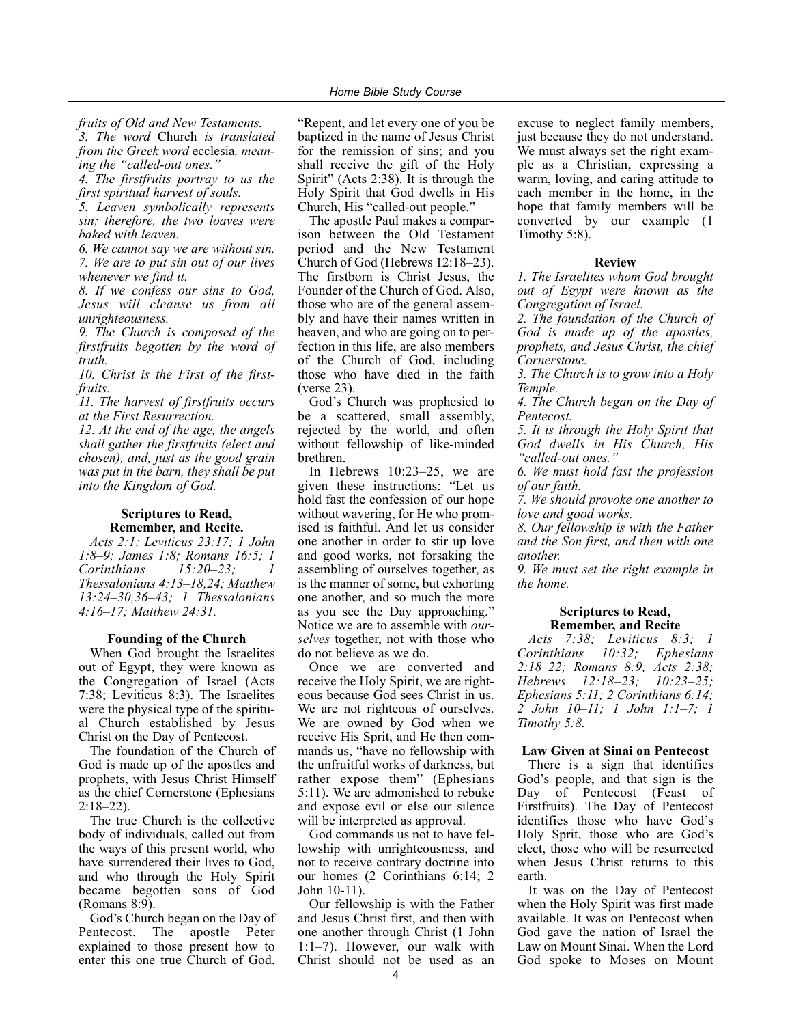*fruits of Old and New Testaments.*

*3. The word* Church *is translated from the Greek word* ecclesia*, meaning the "called-out ones."*

*4. The firstfruits portray to us the first spiritual harvest of souls.*

*5. Leaven symbolically represents sin; therefore, the two loaves were baked with leaven.*

*6. We cannot say we are without sin. 7. We are to put sin out of our lives whenever we find it.*

*8. If we confess our sins to God, Jesus will cleanse us from all unrighteousness.*

*9. The Church is composed of the firstfruits begotten by the word of truth.*

*10. Christ is the First of the firstfruits.*

*11. The harvest of firstfruits occurs at the First Resurrection.*

*12. At the end of the age, the angels shall gather the firstfruits (elect and chosen), and, just as the good grain was put in the barn, they shall be put into the Kingdom of God.*

#### **Scriptures to Read, Remember, and Recite.**

*Acts 2:1; Leviticus 23:17; 1 John 1:8–9; James 1:8; Romans 16:5; 1 Corinthians* 15:20–23; *Thessalonians 4:13–18,24; Matthew 13:24–30,36–43; 1 Thessalonians 4:16–17; Matthew 24:31.*

#### **Founding of the Church**

When God brought the Israelites out of Egypt, they were known as the Congregation of Israel (Acts 7:38; Leviticus 8:3). The Israelites were the physical type of the spiritual Church established by Jesus Christ on the Day of Pentecost.

The foundation of the Church of God is made up of the apostles and prophets, with Jesus Christ Himself as the chief Cornerstone (Ephesians 2:18–22).

The true Church is the collective body of individuals, called out from the ways of this present world, who have surrendered their lives to God, and who through the Holy Spirit became begotten sons of God (Romans 8:9).

God's Church began on the Day of Pentecost. The apostle Peter explained to those present how to enter this one true Church of God.

"Repent, and let every one of you be baptized in the name of Jesus Christ for the remission of sins; and you shall receive the gift of the Holy Spirit" (Acts 2:38). It is through the Holy Spirit that God dwells in His Church, His "called-out people."

The apostle Paul makes a comparison between the Old Testament period and the New Testament Church of God (Hebrews 12:18–23). The firstborn is Christ Jesus, the Founder of the Church of God. Also, those who are of the general assembly and have their names written in heaven, and who are going on to perfection in this life, are also members of the Church of God, including those who have died in the faith (verse 23).

God's Church was prophesied to be a scattered, small assembly, rejected by the world, and often without fellowship of like-minded brethren.

In Hebrews 10:23–25, we are given these instructions: "Let us hold fast the confession of our hope without wavering, for He who promised is faithful. And let us consider one another in order to stir up love and good works, not forsaking the assembling of ourselves together, as is the manner of some, but exhorting one another, and so much the more as you see the Day approaching." Notice we are to assemble with *ourselves* together, not with those who do not believe as we do.

Once we are converted and receive the Holy Spirit, we are righteous because God sees Christ in us. We are not righteous of ourselves. We are owned by God when we receive His Sprit, and He then commands us, "have no fellowship with the unfruitful works of darkness, but rather expose them" (Ephesians 5:11). We are admonished to rebuke and expose evil or else our silence will be interpreted as approval.

God commands us not to have fellowship with unrighteousness, and not to receive contrary doctrine into our homes (2 Corinthians 6:14; 2 John 10-11).

Our fellowship is with the Father and Jesus Christ first, and then with one another through Christ (1 John 1:1–7). However, our walk with Christ should not be used as an

excuse to neglect family members, just because they do not understand. We must always set the right example as a Christian, expressing a warm, loving, and caring attitude to each member in the home, in the hope that family members will be converted by our example (1 Timothy 5:8).

#### **Review**

*1. The Israelites whom God brought out of Egypt were known as the Congregation of Israel.*

*2. The foundation of the Church of God is made up of the apostles, prophets, and Jesus Christ, the chief Cornerstone.*

*3. The Church is to grow into a Holy Temple.*

*4. The Church began on the Day of Pentecost.*

*5. It is through the Holy Spirit that God dwells in His Church, His "called-out ones."*

*6. We must hold fast the profession of our faith.*

*7. We should provoke one another to love and good works.*

*8. Our fellowship is with the Father and the Son first, and then with one another.*

*9. We must set the right example in the home.*

#### **Scriptures to Read, Remember, and Recite**

*Acts 7:38; Leviticus 8:3; 1 Corinthians 10:32; Ephesians 2:18–22; Romans 8:9; Acts 2:38; Hebrews 12:18–23; 10:23–25; Ephesians 5:11; 2 Corinthians 6:14; 2 John 10–11; 1 John 1:1–7; 1 Timothy 5:8.*

#### **Law Given at Sinai on Pentecost**

There is a sign that identifies God's people, and that sign is the Day of Pentecost (Feast of Firstfruits). The Day of Pentecost identifies those who have God's Holy Sprit, those who are God's elect, those who will be resurrected when Jesus Christ returns to this earth.

It was on the Day of Pentecost when the Holy Spirit was first made available. It was on Pentecost when God gave the nation of Israel the Law on Mount Sinai. When the Lord God spoke to Moses on Mount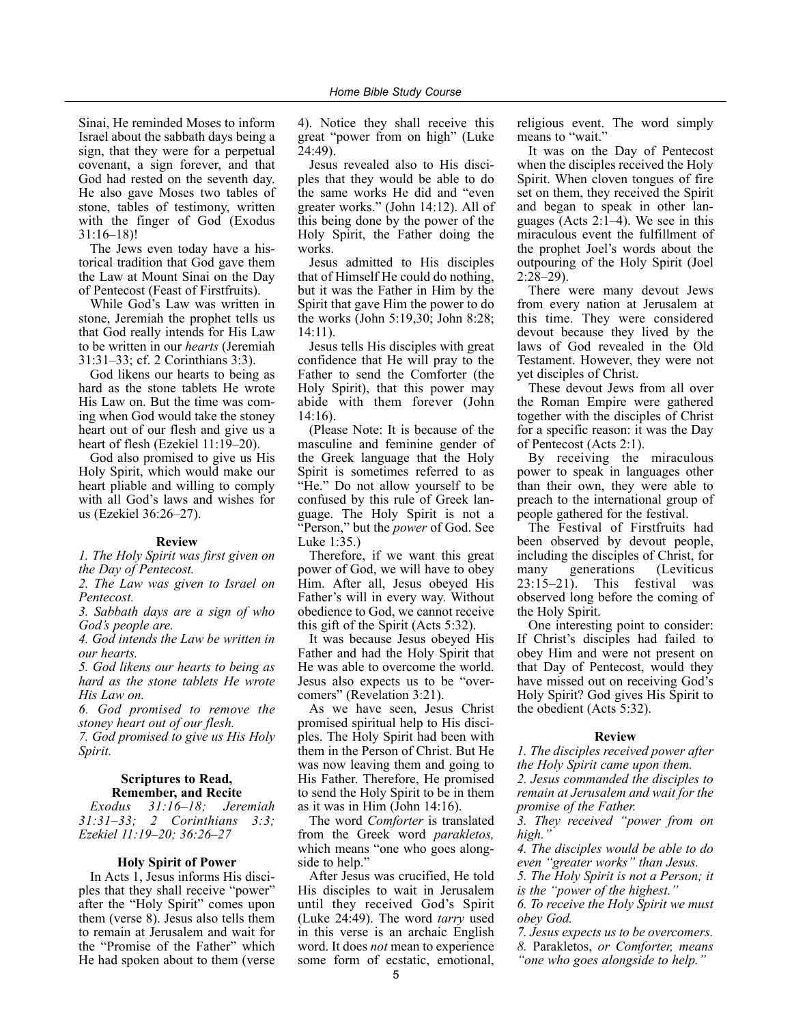Sinai, He reminded Moses to inform Israel about the sabbath days being a sign, that they were for a perpetual covenant, a sign forever, and that God had rested on the seventh day. He also gave Moses two tables of stone, tables of testimony, written with the finger of God (Exodus 31:16–18)!

The Jews even today have a historical tradition that God gave them the Law at Mount Sinai on the Day of Pentecost (Feast of Firstfruits).

While God's Law was written in stone, Jeremiah the prophet tells us that God really intends for His Law to be written in our *hearts* (Jeremiah 31:31–33; cf. 2 Corinthians 3:3).

God likens our hearts to being as hard as the stone tablets He wrote His Law on. But the time was coming when God would take the stoney heart out of our flesh and give us a heart of flesh (Ezekiel 11:19–20).

God also promised to give us His Holy Spirit, which would make our heart pliable and willing to comply with all God's laws and wishes for us (Ezekiel 36:26–27).

#### **Review**

*1. The Holy Spirit was first given on the Day of Pentecost.*

*2. The Law was given to Israel on Pentecost.*

*3. Sabbath days are a sign of who God's people are.*

*4. God intends the Law be written in our hearts.*

*5. God likens our hearts to being as hard as the stone tablets He wrote His Law on.*

*6. God promised to remove the stoney heart out of our flesh.*

*7. God promised to give us His Holy Spirit.*

#### **Scriptures to Read, Remember, and Recite**

*Exodus 31:16–18; Jeremiah 31:31–33; 2 Corinthians 3:3; Ezekiel 11:19–20; 36:26–27*

#### **Holy Spirit of Power**

In Acts 1, Jesus informs His disciples that they shall receive "power" after the "Holy Spirit" comes upon them (verse 8). Jesus also tells them to remain at Jerusalem and wait for the "Promise of the Father" which He had spoken about to them (verse 4). Notice they shall receive this great "power from on high" (Luke 24:49).

Jesus revealed also to His disciples that they would be able to do the same works He did and "even greater works." (John 14:12). All of this being done by the power of the Holy Spirit, the Father doing the works.

Jesus admitted to His disciples that of Himself He could do nothing, but it was the Father in Him by the Spirit that gave Him the power to do the works (John 5:19,30; John 8:28; 14:11).

Jesus tells His disciples with great confidence that He will pray to the Father to send the Comforter (the Holy Spirit), that this power may abide with them forever (John 14:16).

(Please Note: It is because of the masculine and feminine gender of the Greek language that the Holy Spirit is sometimes referred to as "He." Do not allow yourself to be confused by this rule of Greek language. The Holy Spirit is not a "Person," but the *power* of God. See Luke 1:35.)

Therefore, if we want this great power of God, we will have to obey Him. After all, Jesus obeyed His Father's will in every way. Without obedience to God, we cannot receive this gift of the Spirit (Acts 5:32).

It was because Jesus obeyed His Father and had the Holy Spirit that He was able to overcome the world. Jesus also expects us to be "overcomers" (Revelation 3:21).

As we have seen, Jesus Christ promised spiritual help to His disciples. The Holy Spirit had been with them in the Person of Christ. But He was now leaving them and going to His Father. Therefore, He promised to send the Holy Spirit to be in them as it was in Him (John 14:16).

The word *Comforter* is translated from the Greek word *parakletos,* which means "one who goes alongside to help."

After Jesus was crucified, He told His disciples to wait in Jerusalem until they received God's Spirit (Luke 24:49). The word *tarry* used in this verse is an archaic English word. It does *not* mean to experience some form of ecstatic, emotional, religious event. The word simply means to "wait."

It was on the Day of Pentecost when the disciples received the Holy Spirit. When cloven tongues of fire set on them, they received the Spirit and began to speak in other languages (Acts 2:1–4). We see in this miraculous event the fulfillment of the prophet Joel's words about the outpouring of the Holy Spirit (Joel 2:28–29).

There were many devout Jews from every nation at Jerusalem at this time. They were considered devout because they lived by the laws of God revealed in the Old Testament. However, they were not yet disciples of Christ.

These devout Jews from all over the Roman Empire were gathered together with the disciples of Christ for a specific reason: it was the Day of Pentecost (Acts 2:1).

By receiving the miraculous power to speak in languages other than their own, they were able to preach to the international group of people gathered for the festival.

The Festival of Firstfruits had been observed by devout people, including the disciples of Christ, for many generations (Leviticus 23:15–21). This festival was observed long before the coming of the Holy Spirit.

One interesting point to consider: If Christ's disciples had failed to obey Him and were not present on that Day of Pentecost, would they have missed out on receiving God's Holy Spirit? God gives His Spirit to the obedient (Acts 5:32).

#### **Review**

*1. The disciples received power after the Holy Spirit came upon them.*

*2. Jesus commanded the disciples to remain at Jerusalem and wait for the promise of the Father.*

*3. They received "power from on high."*

*4. The disciples would be able to do even "greater works" than Jesus.*

*5. The Holy Spirit is not a Person; it is the "power of the highest."*

*6. To receive the Holy Spirit we must obey God.*

*7. Jesus expects us to be overcomers.*

*8.* Parakletos, *or Comforter, means "one who goes alongside to help."*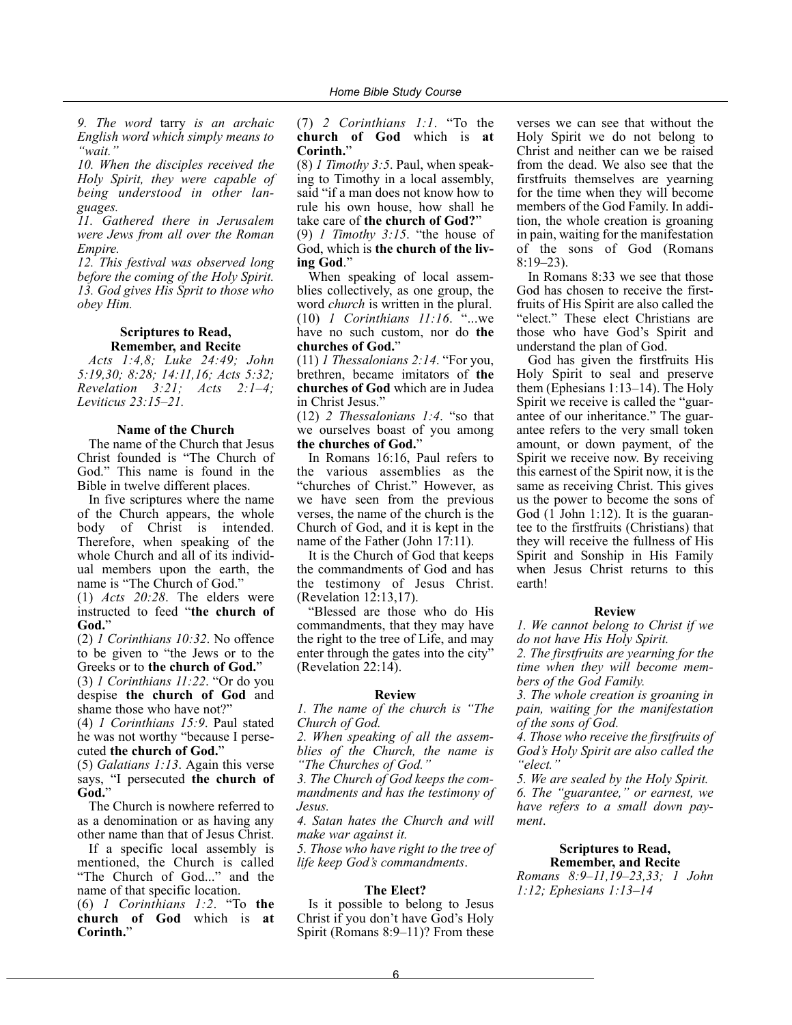*9. The word* tarry *is an archaic English word which simply means to "wait."*

*10. When the disciples received the Holy Spirit, they were capable of being understood in other languages.*

*11. Gathered there in Jerusalem were Jews from all over the Roman Empire.*

*12. This festival was observed long before the coming of the Holy Spirit. 13. God gives His Sprit to those who obey Him.*

#### **Scriptures to Read, Remember, and Recite**

*Acts 1:4,8; Luke 24:49; John 5:19,30; 8:28; 14:11,16; Acts 5:32; Revelation 3:21; Acts 2:1–4; Leviticus 23:15–21.*

#### **Name of the Church**

The name of the Church that Jesus Christ founded is "The Church of God." This name is found in the Bible in twelve different places.

In five scriptures where the name of the Church appears, the whole body of Christ is intended. Therefore, when speaking of the whole Church and all of its individual members upon the earth, the name is "The Church of God."

(1) *Acts 20:28*. The elders were instructed to feed "**the church of God.**"

(2) *1 Corinthians 10:32*. No offence to be given to "the Jews or to the Greeks or to **the church of God.**"

(3) *1 Corinthians 11:22*. "Or do you despise **the church of God** and shame those who have not?"

(4) *1 Corinthians 15:9*. Paul stated he was not worthy "because I persecuted **the church of God.**"

(5) *Galatians 1:13*. Again this verse says, "I persecuted **the church of God.**"

The Church is nowhere referred to as a denomination or as having any other name than that of Jesus Christ.

If a specific local assembly is mentioned, the Church is called "The Church of God..." and the name of that specific location.

(6) *1 Corinthians 1:2*. "To **the church of God** which is **at**

**Corinth.**"

(7) *2 Corinthians 1:1*. "To the **church of God** which is **at Corinth.**"

(8) *1 Timothy 3:5*. Paul, when speaking to Timothy in a local assembly, said "if a man does not know how to rule his own house, how shall he take care of **the church of God?**" (9) *1 Timothy 3:15*. "the house of God, which is **the church of the living God**."

When speaking of local assemblies collectively, as one group, the word *church* is written in the plural. (10) *1 Corinthians 11:16*. "...we have no such custom, nor do **the churches of God.**"

(11) *1 Thessalonians 2:14*. "For you, brethren, became imitators of **the churches of God** which are in Judea in Christ Jesus."

(12) *2 Thessalonians 1:4*. "so that we ourselves boast of you among **the churches of God.**"

In Romans 16:16, Paul refers to the various assemblies as the "churches of Christ." However, as we have seen from the previous verses, the name of the church is the Church of God, and it is kept in the name of the Father (John 17:11).

It is the Church of God that keeps the commandments of God and has the testimony of Jesus Christ. (Revelation 12:13,17).

"Blessed are those who do His commandments, that they may have the right to the tree of Life, and may enter through the gates into the city" (Revelation 22:14).

#### **Review**

*1. The name of the church is "The Church of God.*

*2. When speaking of all the assemblies of the Church, the name is "The Churches of God."*

*3. The Church of God keeps the commandments and has the testimony of Jesus.*

*4. Satan hates the Church and will make war against it.*

*5. Those who have right to the tree of life keep God's commandments*.

#### **The Elect?**

Is it possible to belong to Jesus Christ if you don't have God's Holy Spirit (Romans 8:9–11)? From these

verses we can see that without the Holy Spirit we do not belong to Christ and neither can we be raised from the dead. We also see that the firstfruits themselves are yearning for the time when they will become members of the God Family. In addition, the whole creation is groaning in pain, waiting for the manifestation of the sons of God (Romans 8:19–23).

In Romans 8:33 we see that those God has chosen to receive the firstfruits of His Spirit are also called the "elect." These elect Christians are those who have God's Spirit and understand the plan of God.

God has given the firstfruits His Holy Spirit to seal and preserve them (Ephesians 1:13–14). The Holy Spirit we receive is called the "guarantee of our inheritance." The guarantee refers to the very small token amount, or down payment, of the Spirit we receive now. By receiving this earnest of the Spirit now, it is the same as receiving Christ. This gives us the power to become the sons of God (1 John 1:12). It is the guarantee to the firstfruits (Christians) that they will receive the fullness of His Spirit and Sonship in His Family when Jesus Christ returns to this earth!

#### **Review**

*1. We cannot belong to Christ if we do not have His Holy Spirit.*

*2. The firstfruits are yearning for the time when they will become members of the God Family.*

*3. The whole creation is groaning in pain, waiting for the manifestation of the sons of God.*

*4. Those who receive the firstfruits of God's Holy Spirit are also called the "elect."*

*5. We are sealed by the Holy Spirit. 6. The "guarantee," or earnest, we have refers to a small down payment*.

#### **Scriptures to Read, Remember, and Recite**

*Romans 8:9–11,19–23,33; 1 John 1:12; Ephesians 1:13–14*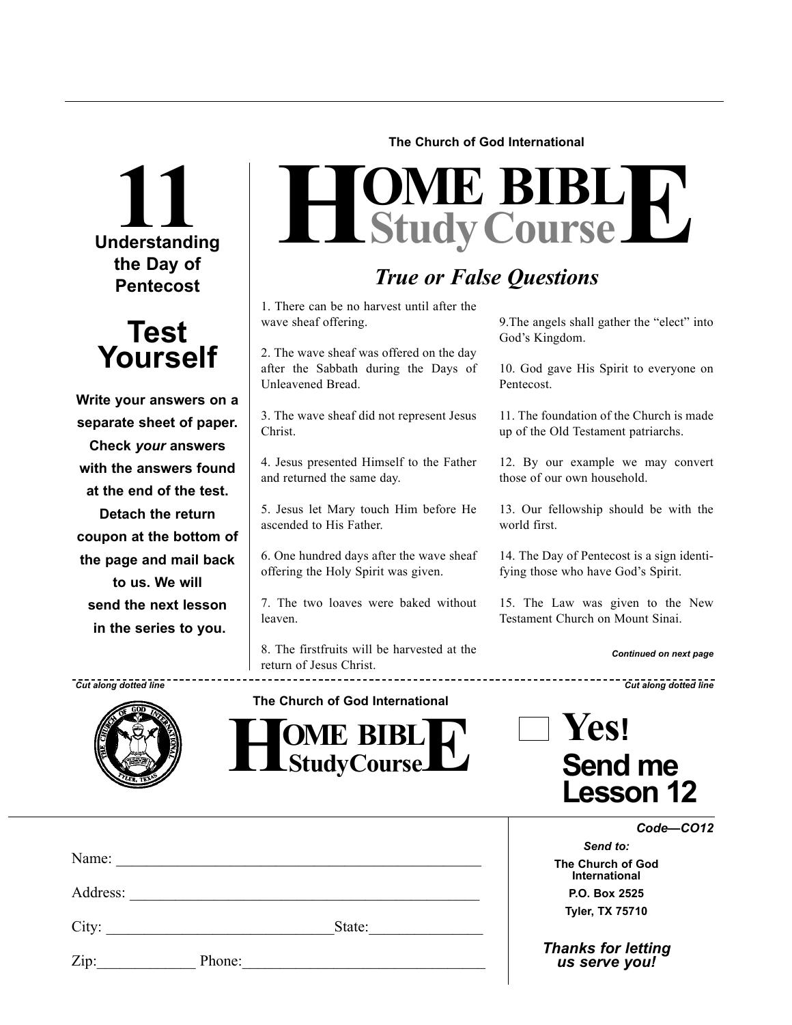## **11**<br>Understanding **the Day of Pentecost**



**Write your answers on a separate sheet of paper. Check** *your* **answers with the answers found at the end of the test. Detach the return coupon at the bottom of the page and mail back to us. We will send the next lesson in the series to you.**

**The Church of God International**

# $H$ **Study Course**

### *True or False Questions*

God's Kingdom.

Pentecost.

world first.

1. There can be no harvest until after the wave sheaf offering.

2. The wave sheaf was offered on the day after the Sabbath during the Days of Unleavened Bread.

3. The wave sheaf did not represent Jesus Christ.

4. Jesus presented Himself to the Father and returned the same day.

5. Jesus let Mary touch Him before He ascended to His Father.

6. One hundred days after the wave sheaf offering the Holy Spirit was given.

7. The two loaves were baked without leaven.

8. The firstfruits will be harvested at the return of Jesus Christ.

 $\frac{1}{2}$  **HOME BIBL E** 

| Cut along dotted line |                                 | <b>Cut along dotted line</b> |
|-----------------------|---------------------------------|------------------------------|
|                       | The Church of God International |                              |
|                       | <b>OME RIRL</b><br>ПЛ           | rest                         |
| .                     |                                 |                              |

9.The angels shall gather the "elect" into

10. God gave His Spirit to everyone on

11. The foundation of the Church is made up of the Old Testament patriarchs.

12. By our example we may convert

13. Our fellowship should be with the

14. The Day of Pentecost is a sign identifying those who have God's Spirit.

15. The Law was given to the New Testament Church on Mount Sinai.

those of our own household.

### **Send me Lesson 12**

*Code—CO12*

*Continued on next page*

|      | Name: $\frac{1}{\sqrt{1-\frac{1}{2}} \cdot \frac{1}{2} \cdot \frac{1}{2} \cdot \frac{1}{2} \cdot \frac{1}{2} \cdot \frac{1}{2} \cdot \frac{1}{2} \cdot \frac{1}{2} \cdot \frac{1}{2} \cdot \frac{1}{2} \cdot \frac{1}{2} \cdot \frac{1}{2} \cdot \frac{1}{2} \cdot \frac{1}{2} \cdot \frac{1}{2} \cdot \frac{1}{2} \cdot \frac{1}{2} \cdot \frac{1}{2} \cdot \frac{1}{2} \cdot \frac{1}{2} \cdot \frac{1}{2} \cdot \frac{1}{2} \cdot \frac{1}{2}$ |        |  |
|------|---------------------------------------------------------------------------------------------------------------------------------------------------------------------------------------------------------------------------------------------------------------------------------------------------------------------------------------------------------------------------------------------------------------------------------------------------|--------|--|
|      |                                                                                                                                                                                                                                                                                                                                                                                                                                                   |        |  |
|      | City:                                                                                                                                                                                                                                                                                                                                                                                                                                             | State: |  |
| Zip: | Phone:                                                                                                                                                                                                                                                                                                                                                                                                                                            |        |  |

*Send to:* **The Church of God International P.O. Box 2525**

**Tyler, TX 75710**

*Thanks for letting us serve you!*